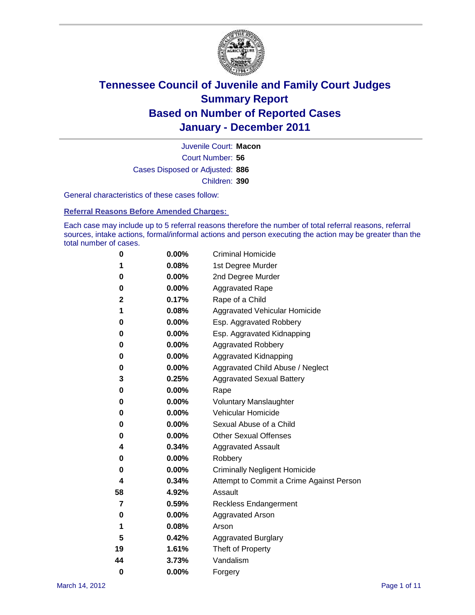

Court Number: **56** Juvenile Court: **Macon** Cases Disposed or Adjusted: **886** Children: **390**

General characteristics of these cases follow:

**Referral Reasons Before Amended Charges:** 

Each case may include up to 5 referral reasons therefore the number of total referral reasons, referral sources, intake actions, formal/informal actions and person executing the action may be greater than the total number of cases.

| 0  | 0.00%    | <b>Criminal Homicide</b>                 |
|----|----------|------------------------------------------|
| 1  | 0.08%    | 1st Degree Murder                        |
| 0  | 0.00%    | 2nd Degree Murder                        |
| 0  | 0.00%    | <b>Aggravated Rape</b>                   |
| 2  | 0.17%    | Rape of a Child                          |
| 1  | 0.08%    | Aggravated Vehicular Homicide            |
| 0  | 0.00%    | Esp. Aggravated Robbery                  |
| 0  | 0.00%    | Esp. Aggravated Kidnapping               |
| 0  | 0.00%    | <b>Aggravated Robbery</b>                |
| 0  | 0.00%    | Aggravated Kidnapping                    |
| 0  | 0.00%    | Aggravated Child Abuse / Neglect         |
| 3  | 0.25%    | <b>Aggravated Sexual Battery</b>         |
| 0  | 0.00%    | Rape                                     |
| 0  | 0.00%    | <b>Voluntary Manslaughter</b>            |
| 0  | 0.00%    | Vehicular Homicide                       |
| 0  | 0.00%    | Sexual Abuse of a Child                  |
| 0  | 0.00%    | <b>Other Sexual Offenses</b>             |
| 4  | 0.34%    | <b>Aggravated Assault</b>                |
| 0  | $0.00\%$ | Robbery                                  |
| 0  | 0.00%    | <b>Criminally Negligent Homicide</b>     |
| 4  | 0.34%    | Attempt to Commit a Crime Against Person |
| 58 | 4.92%    | Assault                                  |
| 7  | 0.59%    | <b>Reckless Endangerment</b>             |
| 0  | 0.00%    | <b>Aggravated Arson</b>                  |
| 1  | 0.08%    | Arson                                    |
| 5  | 0.42%    | <b>Aggravated Burglary</b>               |
| 19 | 1.61%    | Theft of Property                        |
| 44 | 3.73%    | Vandalism                                |
| 0  | 0.00%    | Forgery                                  |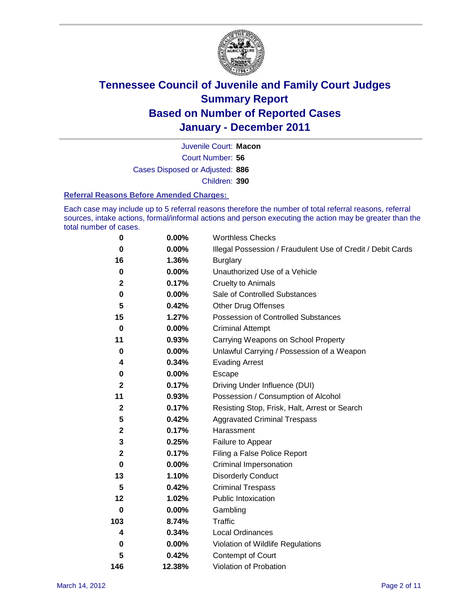

Court Number: **56** Juvenile Court: **Macon** Cases Disposed or Adjusted: **886** Children: **390**

#### **Referral Reasons Before Amended Charges:**

Each case may include up to 5 referral reasons therefore the number of total referral reasons, referral sources, intake actions, formal/informal actions and person executing the action may be greater than the total number of cases.

| $\pmb{0}$    | 0.00%    | <b>Worthless Checks</b>                                     |
|--------------|----------|-------------------------------------------------------------|
| $\bf{0}$     | 0.00%    | Illegal Possession / Fraudulent Use of Credit / Debit Cards |
| 16           | 1.36%    | <b>Burglary</b>                                             |
| $\mathbf 0$  | $0.00\%$ | Unauthorized Use of a Vehicle                               |
| 2            | 0.17%    | <b>Cruelty to Animals</b>                                   |
| 0            | $0.00\%$ | Sale of Controlled Substances                               |
| 5            | 0.42%    | <b>Other Drug Offenses</b>                                  |
| 15           | 1.27%    | Possession of Controlled Substances                         |
| $\bf{0}$     | $0.00\%$ | <b>Criminal Attempt</b>                                     |
| 11           | 0.93%    | Carrying Weapons on School Property                         |
| 0            | $0.00\%$ | Unlawful Carrying / Possession of a Weapon                  |
| 4            | 0.34%    | <b>Evading Arrest</b>                                       |
| 0            | 0.00%    | Escape                                                      |
| $\mathbf{2}$ | 0.17%    | Driving Under Influence (DUI)                               |
| 11           | 0.93%    | Possession / Consumption of Alcohol                         |
| $\mathbf 2$  | 0.17%    | Resisting Stop, Frisk, Halt, Arrest or Search               |
| 5            | 0.42%    | <b>Aggravated Criminal Trespass</b>                         |
| $\mathbf 2$  | 0.17%    | Harassment                                                  |
| 3            | 0.25%    | Failure to Appear                                           |
| $\mathbf 2$  | 0.17%    | Filing a False Police Report                                |
| $\bf{0}$     | 0.00%    | Criminal Impersonation                                      |
| 13           | 1.10%    | <b>Disorderly Conduct</b>                                   |
| 5            | 0.42%    | <b>Criminal Trespass</b>                                    |
| 12           | 1.02%    | <b>Public Intoxication</b>                                  |
| 0            | $0.00\%$ | Gambling                                                    |
| 103          | 8.74%    | <b>Traffic</b>                                              |
| 4            | 0.34%    | <b>Local Ordinances</b>                                     |
| 0            | 0.00%    | Violation of Wildlife Regulations                           |
| 5            | 0.42%    | Contempt of Court                                           |
| 146          | 12.38%   | Violation of Probation                                      |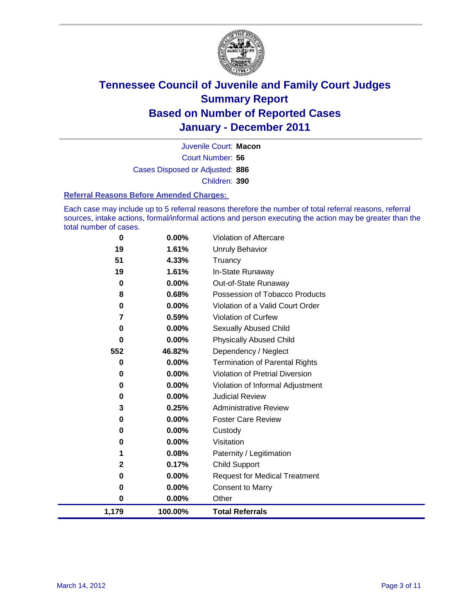

Court Number: **56** Juvenile Court: **Macon** Cases Disposed or Adjusted: **886** Children: **390**

#### **Referral Reasons Before Amended Charges:**

Each case may include up to 5 referral reasons therefore the number of total referral reasons, referral sources, intake actions, formal/informal actions and person executing the action may be greater than the total number of cases.

| 0        | 0.00%    | Violation of Aftercare                 |
|----------|----------|----------------------------------------|
| 19       | 1.61%    | Unruly Behavior                        |
| 51       | 4.33%    | Truancy                                |
| 19       | 1.61%    | In-State Runaway                       |
| 0        | 0.00%    | Out-of-State Runaway                   |
| 8        | 0.68%    | Possession of Tobacco Products         |
| 0        | $0.00\%$ | Violation of a Valid Court Order       |
| 7        | 0.59%    | Violation of Curfew                    |
| 0        | $0.00\%$ | Sexually Abused Child                  |
| $\bf{0}$ | 0.00%    | <b>Physically Abused Child</b>         |
| 552      | 46.82%   | Dependency / Neglect                   |
| 0        | 0.00%    | <b>Termination of Parental Rights</b>  |
| 0        | 0.00%    | <b>Violation of Pretrial Diversion</b> |
| 0        | 0.00%    | Violation of Informal Adjustment       |
| 0        | $0.00\%$ | <b>Judicial Review</b>                 |
| 3        | 0.25%    | <b>Administrative Review</b>           |
| 0        | 0.00%    | <b>Foster Care Review</b>              |
| 0        | $0.00\%$ | Custody                                |
| 0        | 0.00%    | Visitation                             |
| 1        | 0.08%    | Paternity / Legitimation               |
| 2        | 0.17%    | <b>Child Support</b>                   |
| 0        | 0.00%    | <b>Request for Medical Treatment</b>   |
| 0        | 0.00%    | <b>Consent to Marry</b>                |
| 0        | 0.00%    | Other                                  |
| 1,179    | 100.00%  | <b>Total Referrals</b>                 |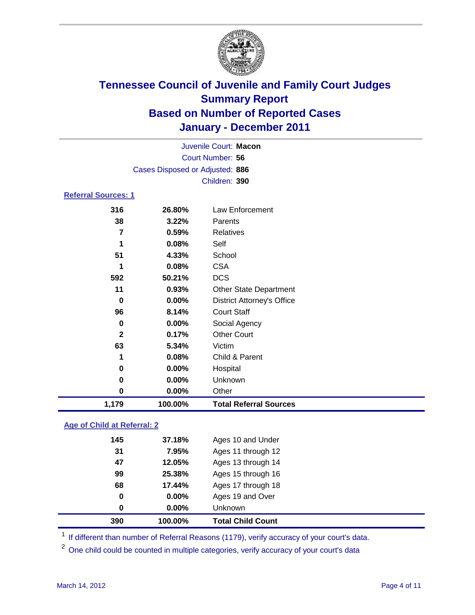

| Juvenile Court: Macon      |                                 |                                   |  |  |
|----------------------------|---------------------------------|-----------------------------------|--|--|
|                            | Court Number: 56                |                                   |  |  |
|                            | Cases Disposed or Adjusted: 886 |                                   |  |  |
|                            |                                 | Children: 390                     |  |  |
| <b>Referral Sources: 1</b> |                                 |                                   |  |  |
| 316                        | 26.80%                          | Law Enforcement                   |  |  |
| 38                         | 3.22%                           | Parents                           |  |  |
| $\overline{7}$             | 0.59%                           | <b>Relatives</b>                  |  |  |
| 1                          | 0.08%                           | Self                              |  |  |
| 51                         | 4.33%                           | School                            |  |  |
| 1                          | 0.08%                           | <b>CSA</b>                        |  |  |
| 592                        | 50.21%                          | <b>DCS</b>                        |  |  |
| 11                         | 0.93%                           | <b>Other State Department</b>     |  |  |
| 0                          | $0.00\%$                        | <b>District Attorney's Office</b> |  |  |
| 96                         | 8.14%                           | <b>Court Staff</b>                |  |  |
| $\mathbf 0$                | 0.00%                           | Social Agency                     |  |  |
| $\mathbf{2}$               | 0.17%                           | <b>Other Court</b>                |  |  |
| 63                         | 5.34%                           | Victim                            |  |  |
| 1                          | 0.08%                           | Child & Parent                    |  |  |
| 0                          | 0.00%                           | Hospital                          |  |  |
| 0                          | 0.00%                           | Unknown                           |  |  |
| 0                          | 0.00%                           | Other                             |  |  |
| 1,179                      | 100.00%                         | <b>Total Referral Sources</b>     |  |  |
|                            |                                 |                                   |  |  |

### **Age of Child at Referral: 2**

| 390 | 100.00%  | <b>Total Child Count</b> |
|-----|----------|--------------------------|
| 0   | $0.00\%$ | <b>Unknown</b>           |
| 0   | 0.00%    | Ages 19 and Over         |
| 68  | 17.44%   | Ages 17 through 18       |
| 99  | 25.38%   | Ages 15 through 16       |
| 47  | 12.05%   | Ages 13 through 14       |
| 31  | 7.95%    | Ages 11 through 12       |
| 145 | 37.18%   | Ages 10 and Under        |
|     |          |                          |

<sup>1</sup> If different than number of Referral Reasons (1179), verify accuracy of your court's data.

<sup>2</sup> One child could be counted in multiple categories, verify accuracy of your court's data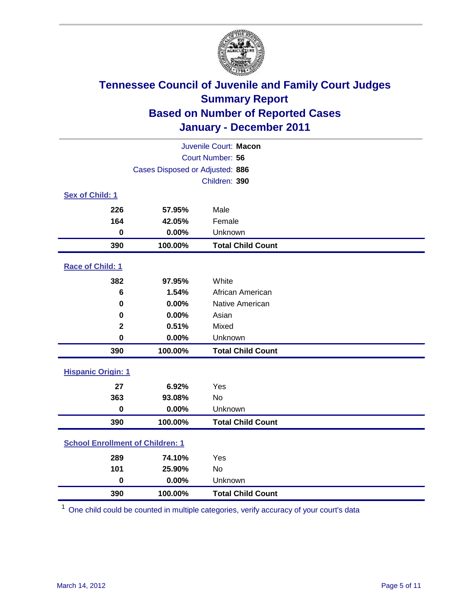

| Juvenile Court: Macon                   |                                 |                          |  |  |
|-----------------------------------------|---------------------------------|--------------------------|--|--|
| Court Number: 56                        |                                 |                          |  |  |
|                                         | Cases Disposed or Adjusted: 886 |                          |  |  |
|                                         |                                 | Children: 390            |  |  |
| Sex of Child: 1                         |                                 |                          |  |  |
| 226                                     | 57.95%                          | Male                     |  |  |
| 164                                     | 42.05%                          | Female                   |  |  |
| $\mathbf 0$                             | 0.00%                           | Unknown                  |  |  |
| 390                                     | 100.00%                         | <b>Total Child Count</b> |  |  |
| Race of Child: 1                        |                                 |                          |  |  |
| 382                                     | 97.95%                          | White                    |  |  |
| 6                                       | 1.54%                           | African American         |  |  |
| $\mathbf 0$                             | 0.00%                           | Native American          |  |  |
| 0                                       | 0.00%                           | Asian                    |  |  |
| $\mathbf 2$                             | 0.51%                           | Mixed                    |  |  |
| $\mathbf 0$                             | 0.00%                           | Unknown                  |  |  |
| 390                                     | 100.00%                         | <b>Total Child Count</b> |  |  |
| <b>Hispanic Origin: 1</b>               |                                 |                          |  |  |
| 27                                      | 6.92%                           | Yes                      |  |  |
| 363                                     | 93.08%                          | No                       |  |  |
| $\mathbf 0$                             | 0.00%                           | Unknown                  |  |  |
| 390                                     | 100.00%                         | <b>Total Child Count</b> |  |  |
| <b>School Enrollment of Children: 1</b> |                                 |                          |  |  |
| 289                                     | 74.10%                          | Yes                      |  |  |
| 101                                     | 25.90%                          | <b>No</b>                |  |  |
| $\mathbf 0$                             | 0.00%                           | Unknown                  |  |  |
| 390                                     | 100.00%                         | <b>Total Child Count</b> |  |  |

One child could be counted in multiple categories, verify accuracy of your court's data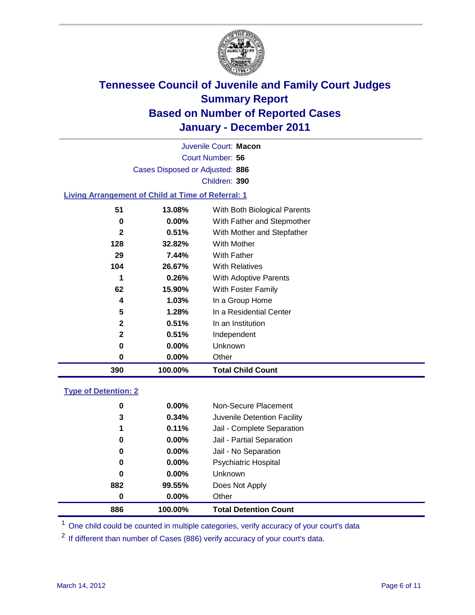

Court Number: **56** Juvenile Court: **Macon** Cases Disposed or Adjusted: **886** Children: **390**

### **Living Arrangement of Child at Time of Referral: 1**

| 0            | 0.00%    | Other                        |
|--------------|----------|------------------------------|
| 0            | $0.00\%$ | Unknown                      |
| $\mathbf{2}$ | 0.51%    | Independent                  |
| $\mathbf{2}$ | 0.51%    | In an Institution            |
| 5            | 1.28%    | In a Residential Center      |
| 4            | 1.03%    | In a Group Home              |
| 62           | 15.90%   | With Foster Family           |
| 1            | 0.26%    | With Adoptive Parents        |
| 104          | 26.67%   | <b>With Relatives</b>        |
| 29           | 7.44%    | With Father                  |
| 128          | 32.82%   | With Mother                  |
| $\mathbf{2}$ | 0.51%    | With Mother and Stepfather   |
| 0            | $0.00\%$ | With Father and Stepmother   |
| 51           | 13.08%   | With Both Biological Parents |
|              |          |                              |

#### **Type of Detention: 2**

| 886              | 100.00%  | <b>Total Detention Count</b> |
|------------------|----------|------------------------------|
| $\boldsymbol{0}$ | 0.00%    | Other                        |
| 882              | 99.55%   | Does Not Apply               |
| 0                | $0.00\%$ | <b>Unknown</b>               |
| 0                | $0.00\%$ | <b>Psychiatric Hospital</b>  |
| 0                | 0.00%    | Jail - No Separation         |
| 0                | $0.00\%$ | Jail - Partial Separation    |
| 1                | 0.11%    | Jail - Complete Separation   |
| 3                | 0.34%    | Juvenile Detention Facility  |
| 0                | $0.00\%$ | Non-Secure Placement         |
|                  |          |                              |

<sup>1</sup> One child could be counted in multiple categories, verify accuracy of your court's data

<sup>2</sup> If different than number of Cases (886) verify accuracy of your court's data.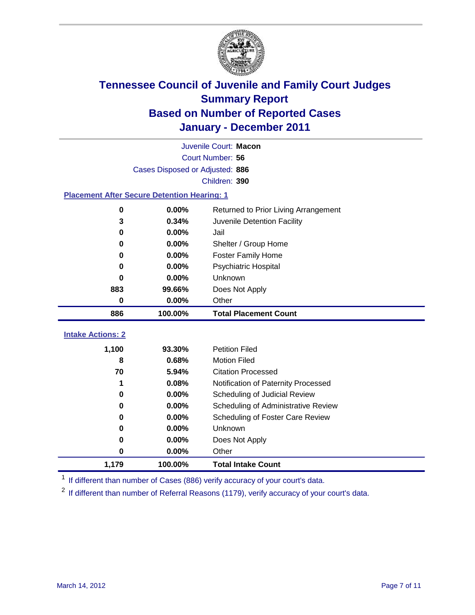

|                                                    | Juvenile Court: Macon           |                                      |  |  |  |
|----------------------------------------------------|---------------------------------|--------------------------------------|--|--|--|
|                                                    | Court Number: 56                |                                      |  |  |  |
|                                                    | Cases Disposed or Adjusted: 886 |                                      |  |  |  |
|                                                    |                                 | Children: 390                        |  |  |  |
| <b>Placement After Secure Detention Hearing: 1</b> |                                 |                                      |  |  |  |
| $\mathbf 0$                                        | 0.00%                           | Returned to Prior Living Arrangement |  |  |  |
| 3                                                  | 0.34%                           | Juvenile Detention Facility          |  |  |  |
| 0                                                  | 0.00%                           | Jail                                 |  |  |  |
| $\bf{0}$                                           | $0.00\%$                        | Shelter / Group Home                 |  |  |  |
| 0                                                  | 0.00%                           | <b>Foster Family Home</b>            |  |  |  |
| 0                                                  | $0.00\%$                        | <b>Psychiatric Hospital</b>          |  |  |  |
| 0                                                  | $0.00\%$                        | <b>Unknown</b>                       |  |  |  |
| 883                                                | 99.66%                          | Does Not Apply                       |  |  |  |
| $\bf{0}$                                           | 0.00%                           | Other                                |  |  |  |
| 886                                                | 100.00%                         | <b>Total Placement Count</b>         |  |  |  |
| <b>Intake Actions: 2</b>                           |                                 |                                      |  |  |  |
| 1,100                                              | 93.30%                          | <b>Petition Filed</b>                |  |  |  |
| 8                                                  | 0.68%                           | <b>Motion Filed</b>                  |  |  |  |
| 70                                                 | 5.94%                           | <b>Citation Processed</b>            |  |  |  |
| 1                                                  | 0.08%                           | Notification of Paternity Processed  |  |  |  |
| $\bf{0}$                                           | 0.00%                           | Scheduling of Judicial Review        |  |  |  |
| $\bf{0}$                                           | 0.00%                           | Scheduling of Administrative Review  |  |  |  |
| 0                                                  | 0.00%                           | Scheduling of Foster Care Review     |  |  |  |
| O                                                  | 0.00%                           | Unknown                              |  |  |  |
| 0                                                  | 0.00%                           | Does Not Apply                       |  |  |  |

<sup>1</sup> If different than number of Cases (886) verify accuracy of your court's data.

**1,179 100.00% Total Intake Count**

<sup>2</sup> If different than number of Referral Reasons (1179), verify accuracy of your court's data.

**0 0.00%** Other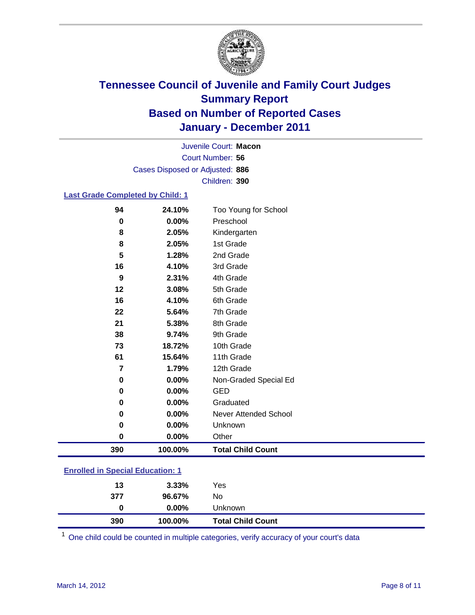

Court Number: **56** Juvenile Court: **Macon** Cases Disposed or Adjusted: **886** Children: **390**

### **Last Grade Completed by Child: 1**

| 94                                      | 24.10%  | Too Young for School         |  |
|-----------------------------------------|---------|------------------------------|--|
| 0                                       | 0.00%   | Preschool                    |  |
| 8                                       | 2.05%   | Kindergarten                 |  |
| 8                                       | 2.05%   | 1st Grade                    |  |
| 5                                       | 1.28%   | 2nd Grade                    |  |
| 16                                      | 4.10%   | 3rd Grade                    |  |
| 9                                       | 2.31%   | 4th Grade                    |  |
| 12                                      | 3.08%   | 5th Grade                    |  |
| 16                                      | 4.10%   | 6th Grade                    |  |
| 22                                      | 5.64%   | 7th Grade                    |  |
| 21                                      | 5.38%   | 8th Grade                    |  |
| 38                                      | 9.74%   | 9th Grade                    |  |
| 73                                      | 18.72%  | 10th Grade                   |  |
| 61                                      | 15.64%  | 11th Grade                   |  |
| $\overline{7}$                          | 1.79%   | 12th Grade                   |  |
| 0                                       | 0.00%   | Non-Graded Special Ed        |  |
| $\bf{0}$                                | 0.00%   | <b>GED</b>                   |  |
| 0                                       | 0.00%   | Graduated                    |  |
| 0                                       | 0.00%   | <b>Never Attended School</b> |  |
| 0                                       | 0.00%   | Unknown                      |  |
| 0                                       | 0.00%   | Other                        |  |
| 390                                     | 100.00% | <b>Total Child Count</b>     |  |
| <b>Enrolled in Special Education: 1</b> |         |                              |  |

| 390                                       | 100.00%  | <b>Total Child Count</b> |  |  |
|-------------------------------------------|----------|--------------------------|--|--|
| $\bf{0}$                                  | $0.00\%$ | <b>Unknown</b>           |  |  |
| 377                                       | 96.67%   | No                       |  |  |
| 13                                        | $3.33\%$ | Yes                      |  |  |
| <u>Einvilled in Opcolar Eugeneinen. I</u> |          |                          |  |  |

One child could be counted in multiple categories, verify accuracy of your court's data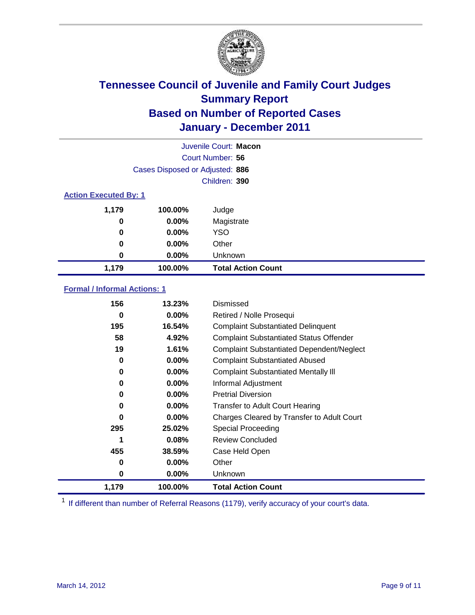

|                              | Juvenile Court: Macon           |                           |  |  |
|------------------------------|---------------------------------|---------------------------|--|--|
|                              |                                 | Court Number: 56          |  |  |
|                              | Cases Disposed or Adjusted: 886 |                           |  |  |
|                              |                                 | Children: 390             |  |  |
| <b>Action Executed By: 1</b> |                                 |                           |  |  |
| 1,179                        | 100.00%                         | Judge                     |  |  |
| 0                            | $0.00\%$                        | Magistrate                |  |  |
| 0                            | $0.00\%$                        | <b>YSO</b>                |  |  |
| 0                            | 0.00%                           | Other                     |  |  |
| 0                            | 0.00%                           | Unknown                   |  |  |
| 1,179                        | 100.00%                         | <b>Total Action Count</b> |  |  |

### **Formal / Informal Actions: 1**

| 156   | 13.23%   | Dismissed                                        |
|-------|----------|--------------------------------------------------|
| 0     | $0.00\%$ | Retired / Nolle Prosequi                         |
| 195   | 16.54%   | <b>Complaint Substantiated Delinquent</b>        |
| 58    | 4.92%    | <b>Complaint Substantiated Status Offender</b>   |
| 19    | 1.61%    | <b>Complaint Substantiated Dependent/Neglect</b> |
| 0     | $0.00\%$ | <b>Complaint Substantiated Abused</b>            |
| 0     | $0.00\%$ | <b>Complaint Substantiated Mentally III</b>      |
| 0     | $0.00\%$ | Informal Adjustment                              |
| 0     | $0.00\%$ | <b>Pretrial Diversion</b>                        |
| 0     | $0.00\%$ | <b>Transfer to Adult Court Hearing</b>           |
| 0     | $0.00\%$ | Charges Cleared by Transfer to Adult Court       |
| 295   | 25.02%   | Special Proceeding                               |
| 1     | 0.08%    | <b>Review Concluded</b>                          |
| 455   | 38.59%   | Case Held Open                                   |
| 0     | $0.00\%$ | Other                                            |
| 0     | $0.00\%$ | <b>Unknown</b>                                   |
| 1,179 | 100.00%  | <b>Total Action Count</b>                        |

<sup>1</sup> If different than number of Referral Reasons (1179), verify accuracy of your court's data.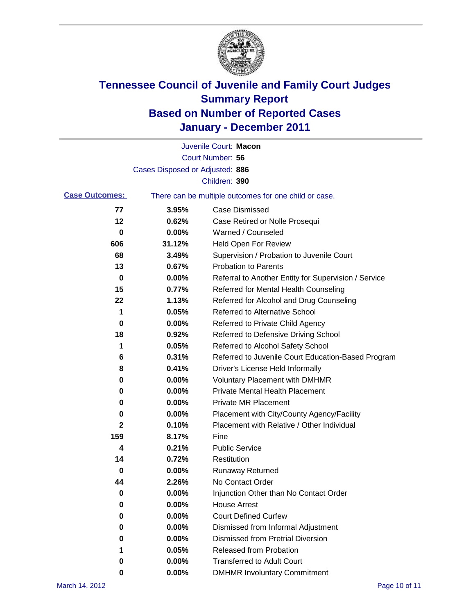

|                       |                                 | Juvenile Court: Macon                                 |
|-----------------------|---------------------------------|-------------------------------------------------------|
|                       |                                 | Court Number: 56                                      |
|                       | Cases Disposed or Adjusted: 886 |                                                       |
|                       |                                 | Children: 390                                         |
| <b>Case Outcomes:</b> |                                 | There can be multiple outcomes for one child or case. |
| 77                    | 3.95%                           | <b>Case Dismissed</b>                                 |
| 12                    | 0.62%                           | Case Retired or Nolle Prosequi                        |
| 0                     | 0.00%                           | Warned / Counseled                                    |
| 606                   | 31.12%                          | <b>Held Open For Review</b>                           |
| 68                    | 3.49%                           | Supervision / Probation to Juvenile Court             |
| 13                    | 0.67%                           | <b>Probation to Parents</b>                           |
| 0                     | 0.00%                           | Referral to Another Entity for Supervision / Service  |
| 15                    | 0.77%                           | Referred for Mental Health Counseling                 |
| 22                    | 1.13%                           | Referred for Alcohol and Drug Counseling              |
| 1                     | 0.05%                           | <b>Referred to Alternative School</b>                 |
| 0                     | 0.00%                           | Referred to Private Child Agency                      |
| 18                    | 0.92%                           | Referred to Defensive Driving School                  |
| 1                     | 0.05%                           | Referred to Alcohol Safety School                     |
| 6                     | 0.31%                           | Referred to Juvenile Court Education-Based Program    |
| 8                     | 0.41%                           | Driver's License Held Informally                      |
| 0                     | 0.00%                           | <b>Voluntary Placement with DMHMR</b>                 |
| 0                     | 0.00%                           | <b>Private Mental Health Placement</b>                |
| 0                     | 0.00%                           | <b>Private MR Placement</b>                           |
| 0                     | 0.00%                           | Placement with City/County Agency/Facility            |
| 2                     | 0.10%                           | Placement with Relative / Other Individual            |
| 159                   | 8.17%                           | Fine                                                  |
| 4                     | 0.21%                           | <b>Public Service</b>                                 |
| 14                    | 0.72%                           | Restitution                                           |
| 0                     | 0.00%                           | <b>Runaway Returned</b>                               |
| 44                    | 2.26%                           | No Contact Order                                      |
| 0                     | $0.00\%$                        | Injunction Other than No Contact Order                |
| 0                     | 0.00%                           | <b>House Arrest</b>                                   |
| 0                     | 0.00%                           | <b>Court Defined Curfew</b>                           |
| 0                     | 0.00%                           | Dismissed from Informal Adjustment                    |
| 0                     | 0.00%                           | <b>Dismissed from Pretrial Diversion</b>              |
| 1                     | 0.05%                           | <b>Released from Probation</b>                        |
| 0                     | 0.00%                           | <b>Transferred to Adult Court</b>                     |
| 0                     | $0.00\%$                        | <b>DMHMR Involuntary Commitment</b>                   |